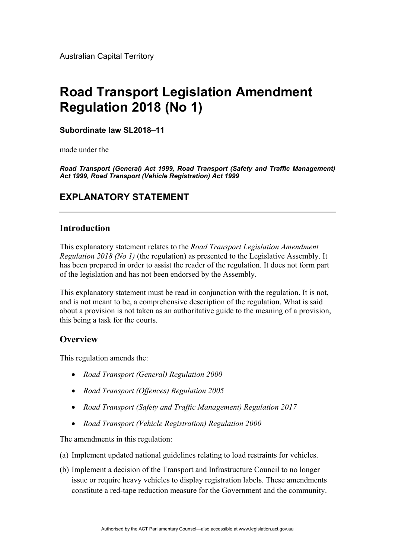Australian Capital Territory

# **Road Transport Legislation Amendment Regulation 2018 (No 1)**

**Subordinate law SL2018–11** 

made under the

*Road Transport (General) Act 1999, Road Transport (Safety and Traffic Management) Act 1999, Road Transport (Vehicle Registration) Act 1999* 

## **EXPLANATORY STATEMENT**

## **Introduction**

This explanatory statement relates to the *Road Transport Legislation Amendment Regulation 2018 (No 1)* (the regulation) as presented to the Legislative Assembly. It has been prepared in order to assist the reader of the regulation. It does not form part of the legislation and has not been endorsed by the Assembly.

This explanatory statement must be read in conjunction with the regulation. It is not, and is not meant to be, a comprehensive description of the regulation. What is said about a provision is not taken as an authoritative guide to the meaning of a provision, this being a task for the courts.

## **Overview**

This regulation amends the:

- *Road Transport (General) Regulation 2000*
- *Road Transport (Offences) Regulation 2005*
- *Road Transport (Safety and Traffic Management) Regulation 2017*
- *Road Transport (Vehicle Registration) Regulation 2000*

The amendments in this regulation:

- (a) Implement updated national guidelines relating to load restraints for vehicles.
- (b) Implement a decision of the Transport and Infrastructure Council to no longer issue or require heavy vehicles to display registration labels. These amendments constitute a red-tape reduction measure for the Government and the community.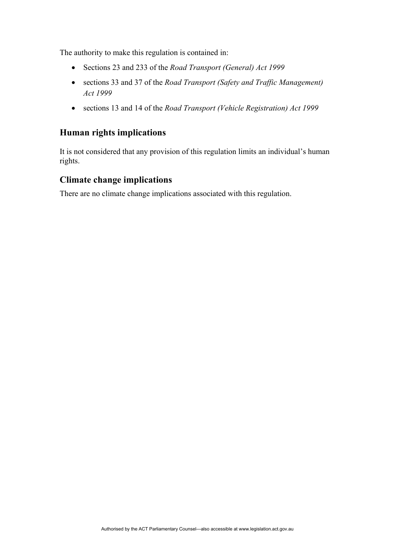The authority to make this regulation is contained in:

- Sections 23 and 233 of the *Road Transport (General) Act 1999*
- sections 33 and 37 of the *Road Transport (Safety and Traffic Management) Act 1999*
- sections 13 and 14 of the *Road Transport (Vehicle Registration) Act 1999*

## **Human rights implications**

It is not considered that any provision of this regulation limits an individual's human rights.

## **Climate change implications**

There are no climate change implications associated with this regulation.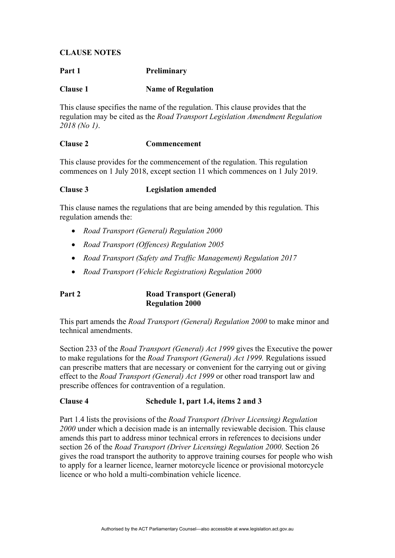## **CLAUSE NOTES**

## Part 1 **Preliminary**

## **Clause 1** Name of Regulation

This clause specifies the name of the regulation. This clause provides that the regulation may be cited as the *Road Transport Legislation Amendment Regulation 2018 (No 1)*.

## **Clause 2 Commencement**

This clause provides for the commencement of the regulation. This regulation commences on 1 July 2018, except section 11 which commences on 1 July 2019.

## **Clause 3 Legislation amended**

This clause names the regulations that are being amended by this regulation. This regulation amends the:

- *Road Transport (General) Regulation 2000*
- *Road Transport (Offences) Regulation 2005*
- *Road Transport (Safety and Traffic Management) Regulation 2017*
- *Road Transport (Vehicle Registration) Regulation 2000*

### **Part 2 Road Transport (General) Regulation 2000**

This part amends the *Road Transport (General) Regulation 2000* to make minor and technical amendments.

Section 233 of the *Road Transport (General) Act 1999* gives the Executive the power to make regulations for the *Road Transport (General) Act 1999.* Regulations issued can prescribe matters that are necessary or convenient for the carrying out or giving effect to the *Road Transport (General) Act 1999* or other road transport law and prescribe offences for contravention of a regulation.

#### **Clause 4 Schedule 1, part 1.4, items 2 and 3**

Part 1.4 lists the provisions of the *Road Transport (Driver Licensing) Regulation 2000* under which a decision made is an internally reviewable decision. This clause amends this part to address minor technical errors in references to decisions under section 26 of the *Road Transport (Driver Licensing) Regulation 2000*. Section 26 gives the road transport the authority to approve training courses for people who wish to apply for a learner licence, learner motorcycle licence or provisional motorcycle licence or who hold a multi-combination vehicle licence.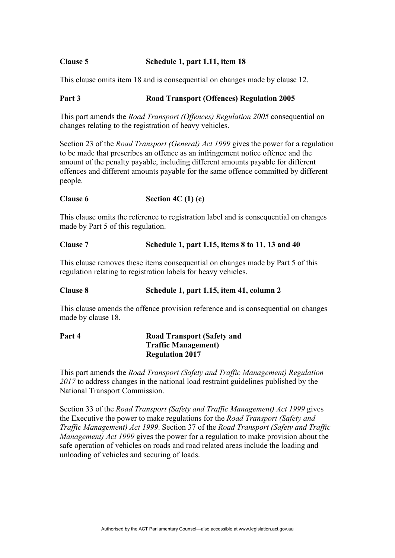## **Clause 5 Schedule 1, part 1.11, item 18**

This clause omits item 18 and is consequential on changes made by clause 12.

## Part 3 Road Transport (Offences) Regulation 2005

This part amends the *Road Transport (Offences) Regulation 2005* consequential on changes relating to the registration of heavy vehicles.

Section 23 of the *Road Transport (General) Act 1999* gives the power for a regulation to be made that prescribes an offence as an infringement notice offence and the amount of the penalty payable, including different amounts payable for different offences and different amounts payable for the same offence committed by different people.

#### **Clause 6 Section 4C (1) (c)**

This clause omits the reference to registration label and is consequential on changes made by Part 5 of this regulation.

#### **Clause 7 Schedule 1, part 1.15, items 8 to 11, 13 and 40**

This clause removes these items consequential on changes made by Part 5 of this regulation relating to registration labels for heavy vehicles.

#### **Clause 8 Schedule 1, part 1.15, item 41, column 2**

This clause amends the offence provision reference and is consequential on changes made by clause 18.

| Part 4 | <b>Road Transport (Safety and</b> |
|--------|-----------------------------------|
|        | <b>Traffic Management</b> )       |
|        | <b>Regulation 2017</b>            |

This part amends the *Road Transport (Safety and Traffic Management) Regulation 2017* to address changes in the national load restraint guidelines published by the National Transport Commission.

Section 33 of the *Road Transport (Safety and Traffic Management) Act 1999* gives the Executive the power to make regulations for the *Road Transport (Safety and Traffic Management) Act 1999*. Section 37 of the *Road Transport (Safety and Traffic Management) Act 1999* gives the power for a regulation to make provision about the safe operation of vehicles on roads and road related areas include the loading and unloading of vehicles and securing of loads.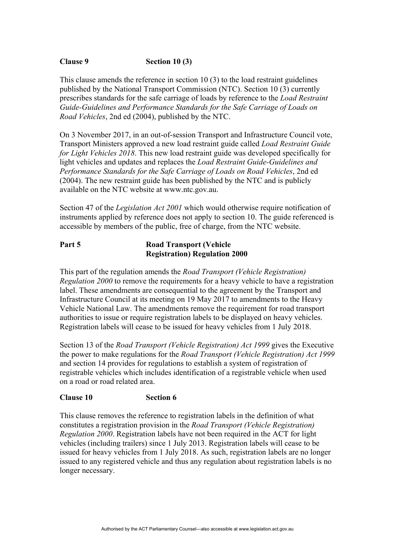## **Clause 9 Section 10 (3)**

This clause amends the reference in section 10 (3) to the load restraint guidelines published by the National Transport Commission (NTC). Section 10 (3) currently prescribes standards for the safe carriage of loads by reference to the *Load Restraint Guide-Guidelines and Performance Standards for the Safe Carriage of Loads on Road Vehicles*, 2nd ed (2004), published by the NTC.

On 3 November 2017, in an out-of-session Transport and Infrastructure Council vote, Transport Ministers approved a new load restraint guide called *Load Restraint Guide for Light Vehicles 2018*. This new load restraint guide was developed specifically for light vehicles and updates and replaces the *Load Restraint Guide-Guidelines and Performance Standards for the Safe Carriage of Loads on Road Vehicles*, 2nd ed (2004). The new restraint guide has been published by the NTC and is publicly available on the NTC website at [www.ntc.gov.au](http://www.ntc.gov.au/).

Section 47 of the *Legislation Act 2001* which would otherwise require notification of instruments applied by reference does not apply to section 10. The guide referenced is accessible by members of the public, free of charge, from the NTC website.

## **Part 5 Road Transport (Vehicle Registration) Regulation 2000**

This part of the regulation amends the *Road Transport (Vehicle Registration) Regulation 2000* to remove the requirements for a heavy vehicle to have a registration label. These amendments are consequential to the agreement by the Transport and Infrastructure Council at its meeting on 19 May 2017 to amendments to the Heavy Vehicle National Law. The amendments remove the requirement for road transport authorities to issue or require registration labels to be displayed on heavy vehicles. Registration labels will cease to be issued for heavy vehicles from 1 July 2018.

Section 13 of the *Road Transport (Vehicle Registration) Act 1999* gives the Executive the power to make regulations for the *Road Transport (Vehicle Registration) Act 1999* and section 14 provides for regulations to establish a system of registration of registrable vehicles which includes identification of a registrable vehicle when used on a road or road related area.

#### **Clause 10 Section 6**

This clause removes the reference to registration labels in the definition of what constitutes a registration provision in the *Road Transport (Vehicle Registration) Regulation 2000*. Registration labels have not been required in the ACT for light vehicles (including trailers) since 1 July 2013. Registration labels will cease to be issued for heavy vehicles from 1 July 2018. As such, registration labels are no longer issued to any registered vehicle and thus any regulation about registration labels is no longer necessary.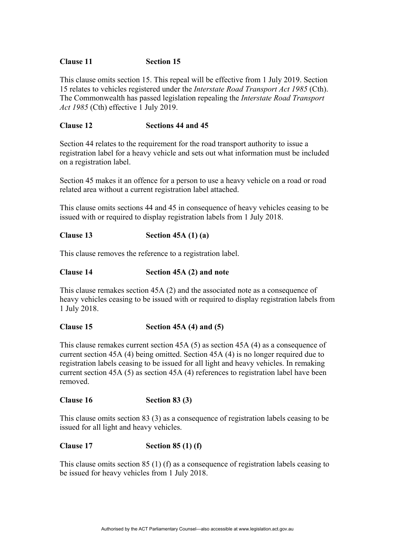### **Clause 11 Section 15**

This clause omits section 15. This repeal will be effective from 1 July 2019. Section 15 relates to vehicles registered under the *Interstate Road Transport Act 1985* (Cth). The Commonwealth has passed legislation repealing the *Interstate Road Transport Act 1985* (Cth) effective 1 July 2019.

## **Clause 12 Sections 44 and 45**

Section 44 relates to the requirement for the road transport authority to issue a registration label for a heavy vehicle and sets out what information must be included on a registration label.

Section 45 makes it an offence for a person to use a heavy vehicle on a road or road related area without a current registration label attached.

This clause omits sections 44 and 45 in consequence of heavy vehicles ceasing to be issued with or required to display registration labels from 1 July 2018.

## **Clause 13 Section 45A (1) (a)**

This clause removes the reference to a registration label.

#### **Clause 14 Section 45A (2) and note**

This clause remakes section 45A (2) and the associated note as a consequence of heavy vehicles ceasing to be issued with or required to display registration labels from 1 July 2018.

#### **Clause 15 Section 45A (4) and (5)**

This clause remakes current section 45A (5) as section 45A (4) as a consequence of current section 45A (4) being omitted. Section 45A (4) is no longer required due to registration labels ceasing to be issued for all light and heavy vehicles. In remaking current section 45A (5) as section 45A (4) references to registration label have been removed.

#### **Clause 16 Section 83 (3)**

This clause omits section 83 (3) as a consequence of registration labels ceasing to be issued for all light and heavy vehicles.

#### **Clause 17 Section 85 (1) (f)**

This clause omits section 85 (1) (f) as a consequence of registration labels ceasing to be issued for heavy vehicles from 1 July 2018.